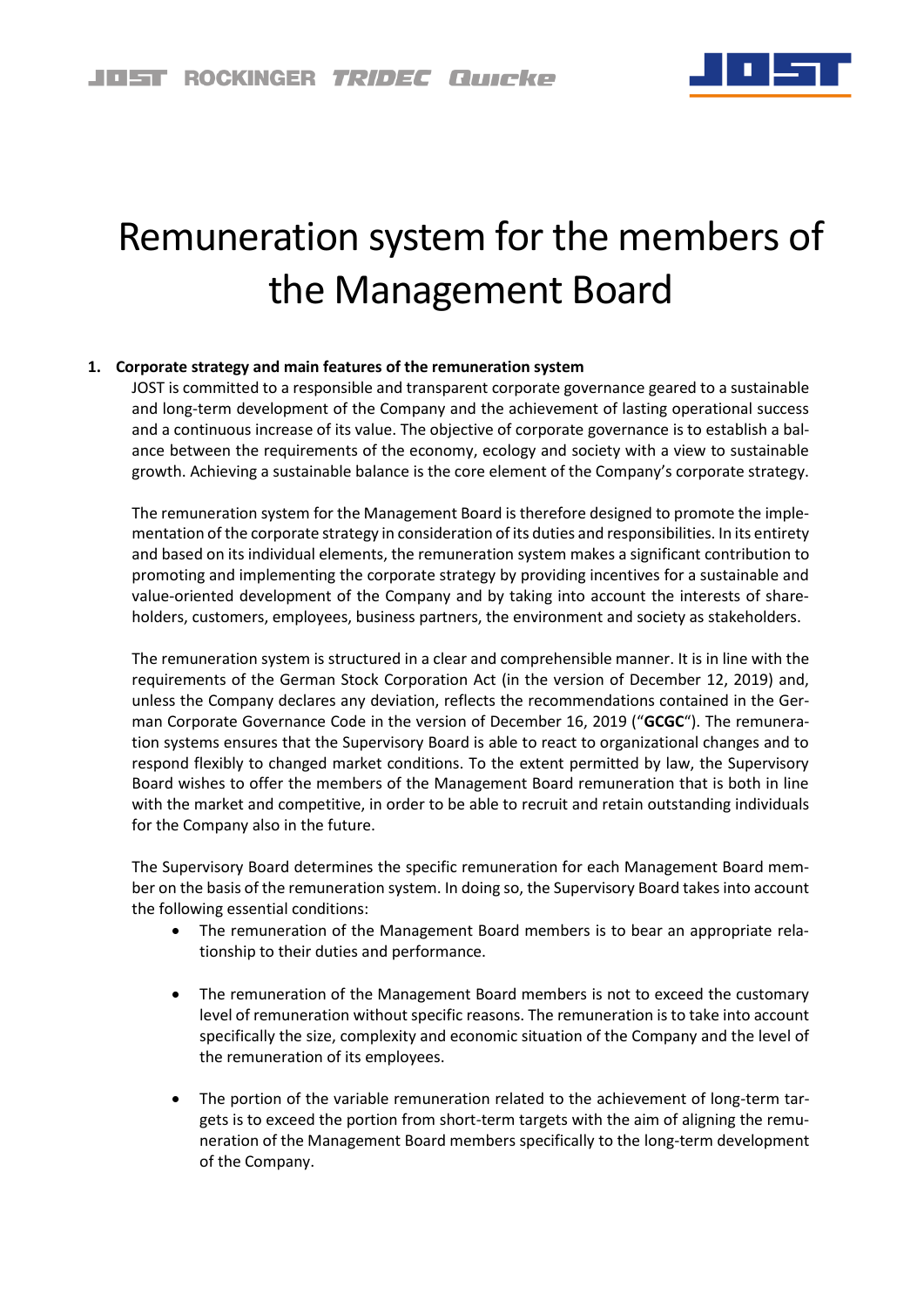

# Remuneration system for the members of the Management Board

# **1. Corporate strategy and main features of the remuneration system**

JOST is committed to a responsible and transparent corporate governance geared to a sustainable and long-term development of the Company and the achievement of lasting operational success and a continuous increase of its value. The objective of corporate governance is to establish a balance between the requirements of the economy, ecology and society with a view to sustainable growth. Achieving a sustainable balance is the core element of the Company's corporate strategy.

The remuneration system for the Management Board is therefore designed to promote the implementation of the corporate strategy in consideration of its duties and responsibilities. In its entirety and based on its individual elements, the remuneration system makes a significant contribution to promoting and implementing the corporate strategy by providing incentives for a sustainable and value-oriented development of the Company and by taking into account the interests of shareholders, customers, employees, business partners, the environment and society as stakeholders.

The remuneration system is structured in a clear and comprehensible manner. It is in line with the requirements of the German Stock Corporation Act (in the version of December 12, 2019) and, unless the Company declares any deviation, reflects the recommendations contained in the German Corporate Governance Code in the version of December 16, 2019 ("**GCGC**"). The remuneration systems ensures that the Supervisory Board is able to react to organizational changes and to respond flexibly to changed market conditions. To the extent permitted by law, the Supervisory Board wishes to offer the members of the Management Board remuneration that is both in line with the market and competitive, in order to be able to recruit and retain outstanding individuals for the Company also in the future.

The Supervisory Board determines the specific remuneration for each Management Board member on the basis of the remuneration system. In doing so, the Supervisory Board takes into account the following essential conditions:

- The remuneration of the Management Board members is to bear an appropriate relationship to their duties and performance.
- The remuneration of the Management Board members is not to exceed the customary level of remuneration without specific reasons. The remuneration is to take into account specifically the size, complexity and economic situation of the Company and the level of the remuneration of its employees.
- The portion of the variable remuneration related to the achievement of long-term targets is to exceed the portion from short-term targets with the aim of aligning the remuneration of the Management Board members specifically to the long-term development of the Company.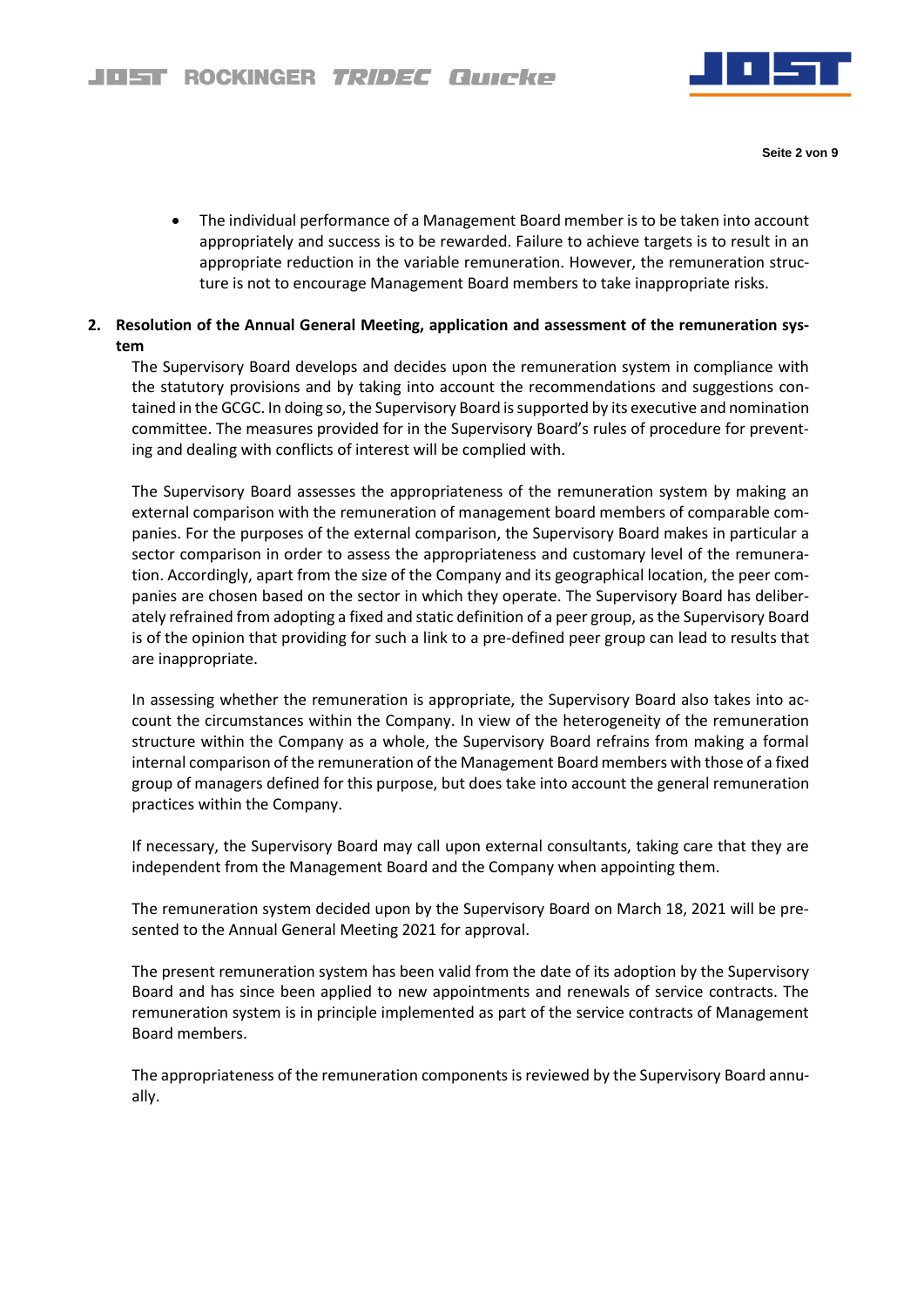

**Seite 2 von 9**

• The individual performance of a Management Board member is to be taken into account appropriately and success is to be rewarded. Failure to achieve targets is to result in an appropriate reduction in the variable remuneration. However, the remuneration structure is not to encourage Management Board members to take inappropriate risks.

# **2. Resolution of the Annual General Meeting, application and assessment of the remuneration system**

The Supervisory Board develops and decides upon the remuneration system in compliance with the statutory provisions and by taking into account the recommendations and suggestions contained in the GCGC. In doing so, the Supervisory Board is supported by its executive and nomination committee. The measures provided for in the Supervisory Board's rules of procedure for preventing and dealing with conflicts of interest will be complied with.

The Supervisory Board assesses the appropriateness of the remuneration system by making an external comparison with the remuneration of management board members of comparable companies. For the purposes of the external comparison, the Supervisory Board makes in particular a sector comparison in order to assess the appropriateness and customary level of the remuneration. Accordingly, apart from the size of the Company and its geographical location, the peer companies are chosen based on the sector in which they operate. The Supervisory Board has deliberately refrained from adopting a fixed and static definition of a peer group, as the Supervisory Board is of the opinion that providing for such a link to a pre-defined peer group can lead to results that are inappropriate.

In assessing whether the remuneration is appropriate, the Supervisory Board also takes into account the circumstances within the Company. In view of the heterogeneity of the remuneration structure within the Company as a whole, the Supervisory Board refrains from making a formal internal comparison of the remuneration of the Management Board members with those of a fixed group of managers defined for this purpose, but does take into account the general remuneration practices within the Company.

If necessary, the Supervisory Board may call upon external consultants, taking care that they are independent from the Management Board and the Company when appointing them.

The remuneration system decided upon by the Supervisory Board on March 18, 2021 will be presented to the Annual General Meeting 2021 for approval.

The present remuneration system has been valid from the date of its adoption by the Supervisory Board and has since been applied to new appointments and renewals of service contracts. The remuneration system is in principle implemented as part of the service contracts of Management Board members.

The appropriateness of the remuneration components is reviewed by the Supervisory Board annually.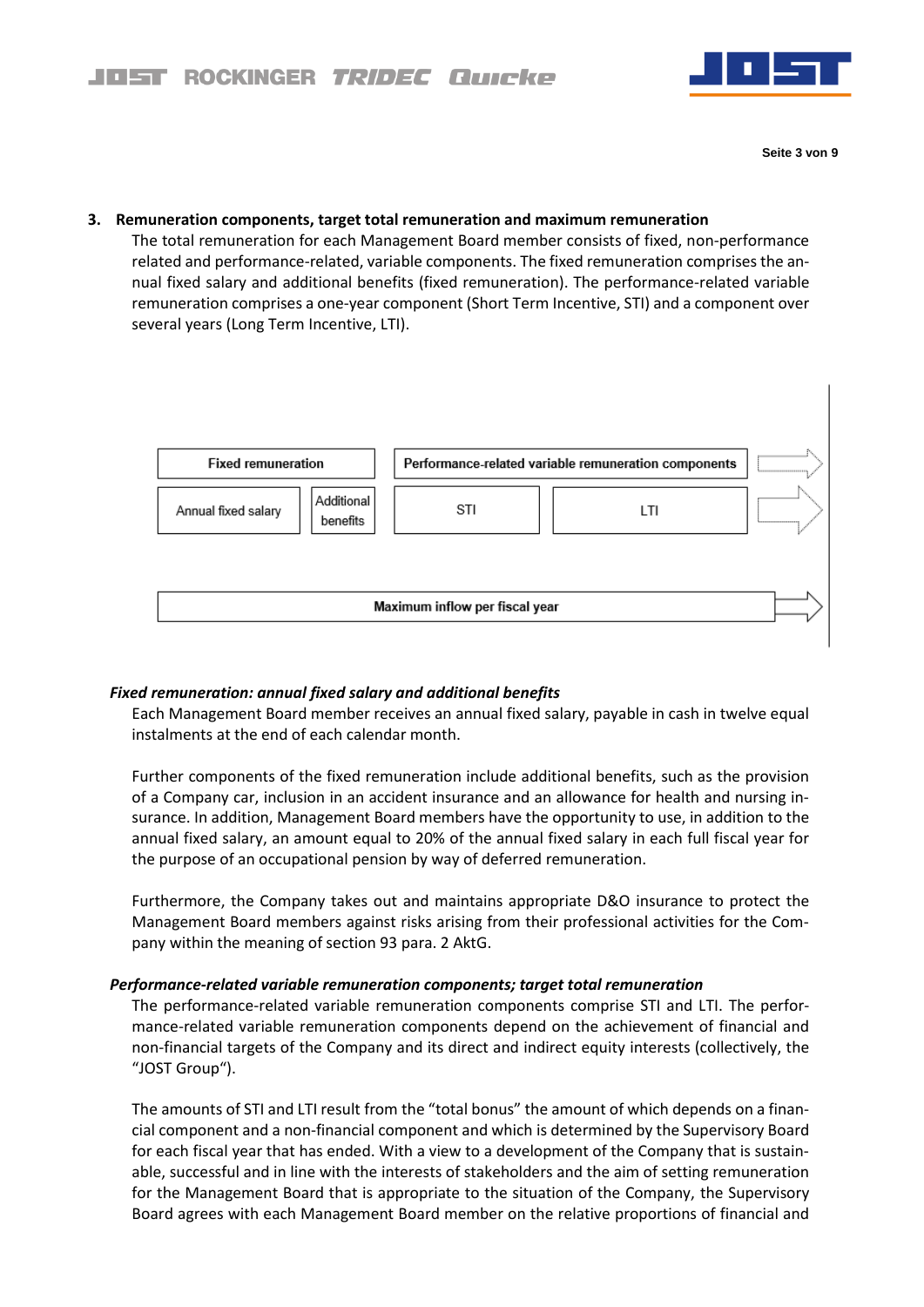

# **3. Remuneration components, target total remuneration and maximum remuneration**

The total remuneration for each Management Board member consists of fixed, non-performance related and performance-related, variable components. The fixed remuneration comprises the annual fixed salary and additional benefits (fixed remuneration). The performance-related variable remuneration comprises a one-year component (Short Term Incentive, STI) and a component over several years (Long Term Incentive, LTI).



## *Fixed remuneration: annual fixed salary and additional benefits*

Each Management Board member receives an annual fixed salary, payable in cash in twelve equal instalments at the end of each calendar month.

Further components of the fixed remuneration include additional benefits, such as the provision of a Company car, inclusion in an accident insurance and an allowance for health and nursing insurance. In addition, Management Board members have the opportunity to use, in addition to the annual fixed salary, an amount equal to 20% of the annual fixed salary in each full fiscal year for the purpose of an occupational pension by way of deferred remuneration.

Furthermore, the Company takes out and maintains appropriate D&O insurance to protect the Management Board members against risks arising from their professional activities for the Company within the meaning of section 93 para. 2 AktG.

#### *Performance-related variable remuneration components; target total remuneration*

The performance-related variable remuneration components comprise STI and LTI. The performance-related variable remuneration components depend on the achievement of financial and non-financial targets of the Company and its direct and indirect equity interests (collectively, the "JOST Group").

The amounts of STI and LTI result from the "total bonus" the amount of which depends on a financial component and a non-financial component and which is determined by the Supervisory Board for each fiscal year that has ended. With a view to a development of the Company that is sustainable, successful and in line with the interests of stakeholders and the aim of setting remuneration for the Management Board that is appropriate to the situation of the Company, the Supervisory Board agrees with each Management Board member on the relative proportions of financial and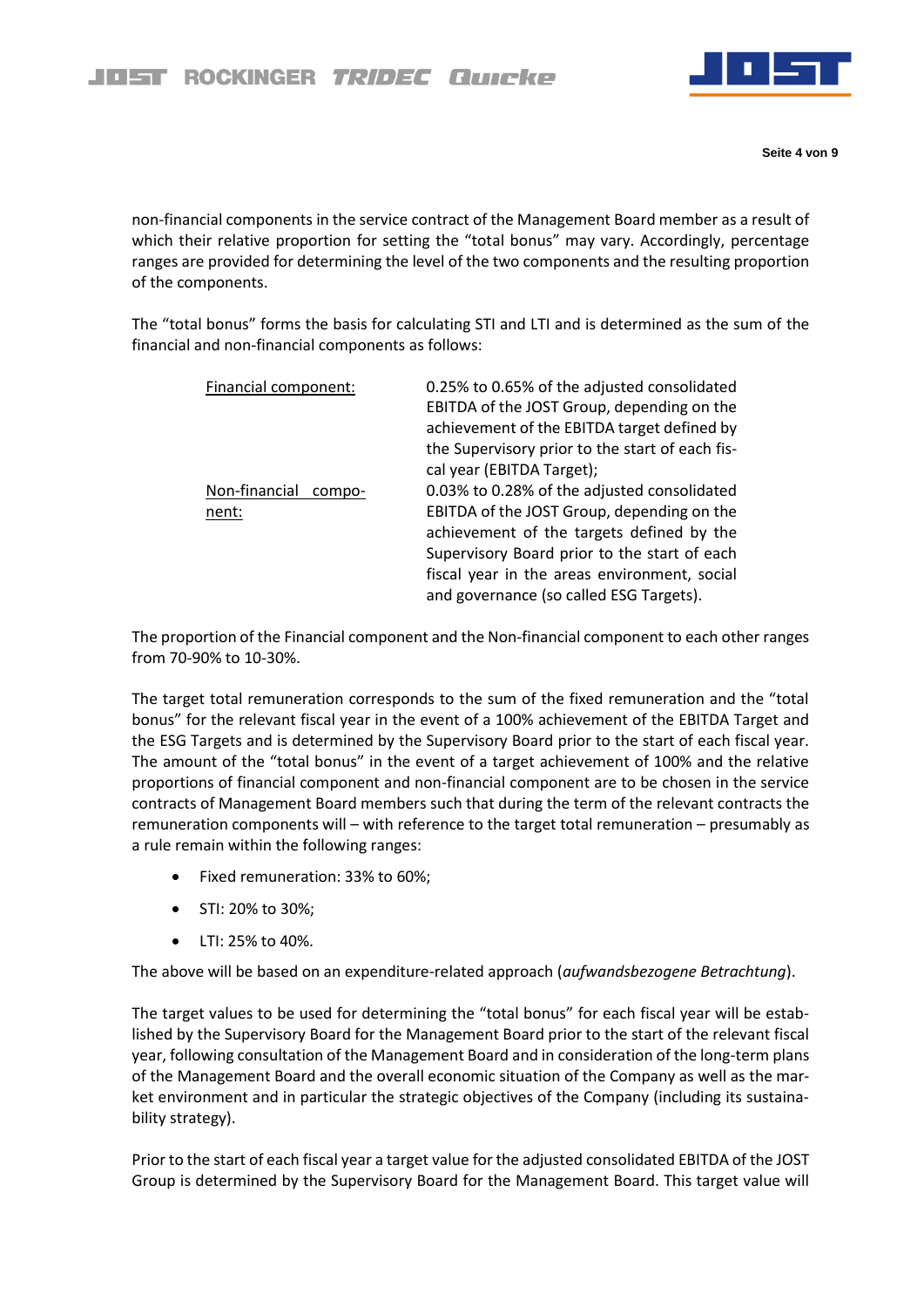

**Seite 4 von 9**

non-financial components in the service contract of the Management Board member as a result of which their relative proportion for setting the "total bonus" may vary. Accordingly, percentage ranges are provided for determining the level of the two components and the resulting proportion of the components.

The "total bonus" forms the basis for calculating STI and LTI and is determined as the sum of the financial and non-financial components as follows:

| Financial component:             | 0.25% to 0.65% of the adjusted consolidated<br>EBITDA of the JOST Group, depending on the<br>achievement of the EBITDA target defined by<br>the Supervisory prior to the start of each fis-<br>cal year (EBITDA Target);                                                          |
|----------------------------------|-----------------------------------------------------------------------------------------------------------------------------------------------------------------------------------------------------------------------------------------------------------------------------------|
| Non-financial<br>compo-<br>nent: | 0.03% to 0.28% of the adjusted consolidated<br>EBITDA of the JOST Group, depending on the<br>achievement of the targets defined by the<br>Supervisory Board prior to the start of each<br>fiscal year in the areas environment, social<br>and governance (so called ESG Targets). |

The proportion of the Financial component and the Non-financial component to each other ranges from 70-90% to 10-30%.

The target total remuneration corresponds to the sum of the fixed remuneration and the "total bonus" for the relevant fiscal year in the event of a 100% achievement of the EBITDA Target and the ESG Targets and is determined by the Supervisory Board prior to the start of each fiscal year. The amount of the "total bonus" in the event of a target achievement of 100% and the relative proportions of financial component and non-financial component are to be chosen in the service contracts of Management Board members such that during the term of the relevant contracts the remuneration components will – with reference to the target total remuneration – presumably as a rule remain within the following ranges:

- Fixed remuneration: 33% to 60%;
- STI: 20% to 30%;
- LTI: 25% to 40%.

The above will be based on an expenditure-related approach (*aufwandsbezogene Betrachtung*).

The target values to be used for determining the "total bonus" for each fiscal year will be established by the Supervisory Board for the Management Board prior to the start of the relevant fiscal year, following consultation of the Management Board and in consideration of the long-term plans of the Management Board and the overall economic situation of the Company as well as the market environment and in particular the strategic objectives of the Company (including its sustainability strategy).

Prior to the start of each fiscal year a target value for the adjusted consolidated EBITDA of the JOST Group is determined by the Supervisory Board for the Management Board. This target value will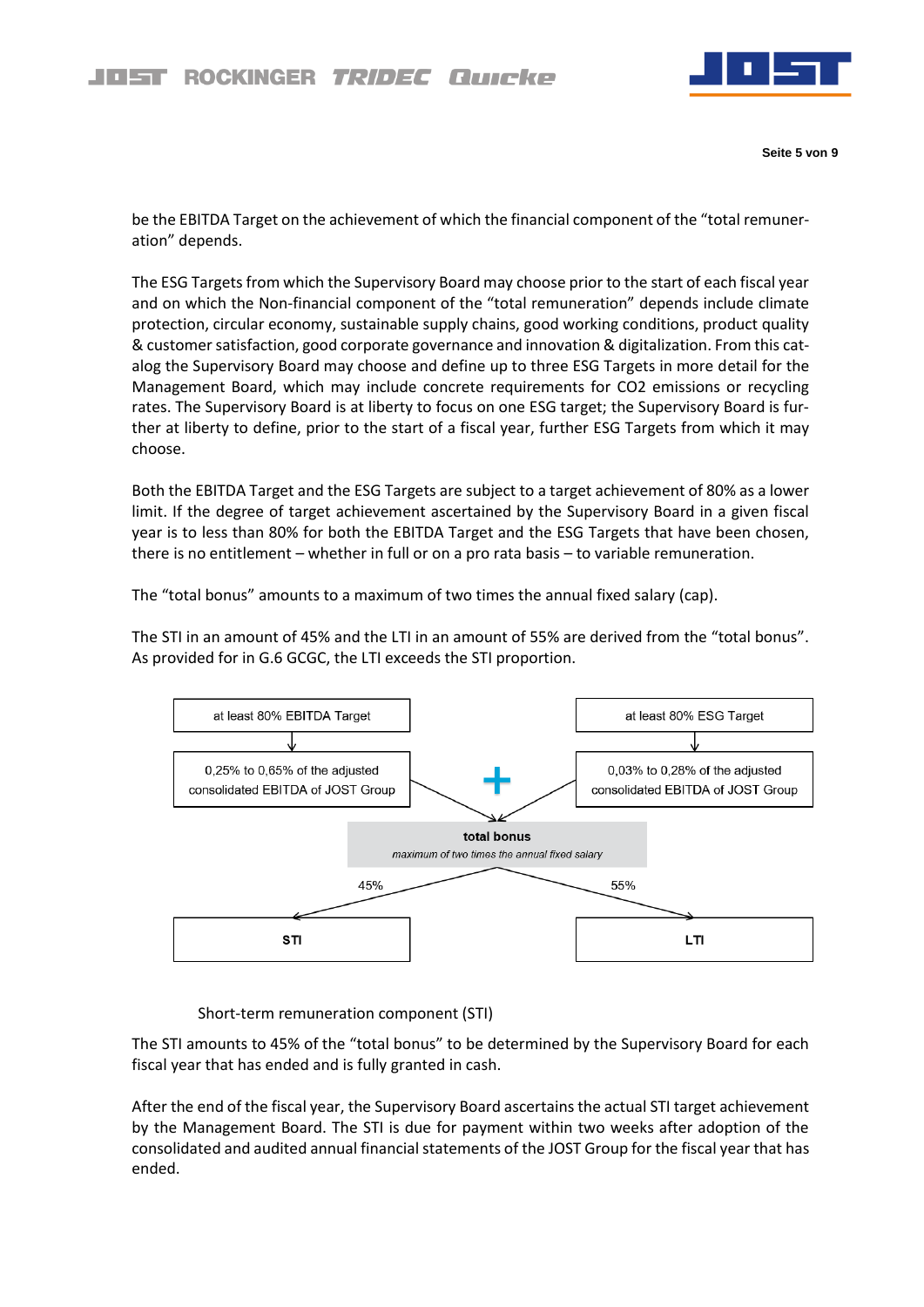

**Seite 5 von 9**

be the EBITDA Target on the achievement of which the financial component of the "total remuneration" depends.

The ESG Targets from which the Supervisory Board may choose prior to the start of each fiscal year and on which the Non-financial component of the "total remuneration" depends include climate protection, circular economy, sustainable supply chains, good working conditions, product quality & customer satisfaction, good corporate governance and innovation & digitalization. From this catalog the Supervisory Board may choose and define up to three ESG Targets in more detail for the Management Board, which may include concrete requirements for CO2 emissions or recycling rates. The Supervisory Board is at liberty to focus on one ESG target; the Supervisory Board is further at liberty to define, prior to the start of a fiscal year, further ESG Targets from which it may choose.

Both the EBITDA Target and the ESG Targets are subject to a target achievement of 80% as a lower limit. If the degree of target achievement ascertained by the Supervisory Board in a given fiscal year is to less than 80% for both the EBITDA Target and the ESG Targets that have been chosen, there is no entitlement – whether in full or on a pro rata basis – to variable remuneration.

The "total bonus" amounts to a maximum of two times the annual fixed salary (cap).

The STI in an amount of 45% and the LTI in an amount of 55% are derived from the "total bonus". As provided for in G.6 GCGC, the LTI exceeds the STI proportion.



Short-term remuneration component (STI)

The STI amounts to 45% of the "total bonus" to be determined by the Supervisory Board for each fiscal year that has ended and is fully granted in cash.

After the end of the fiscal year, the Supervisory Board ascertains the actual STI target achievement by the Management Board. The STI is due for payment within two weeks after adoption of the consolidated and audited annual financial statements of the JOST Group for the fiscal year that has ended.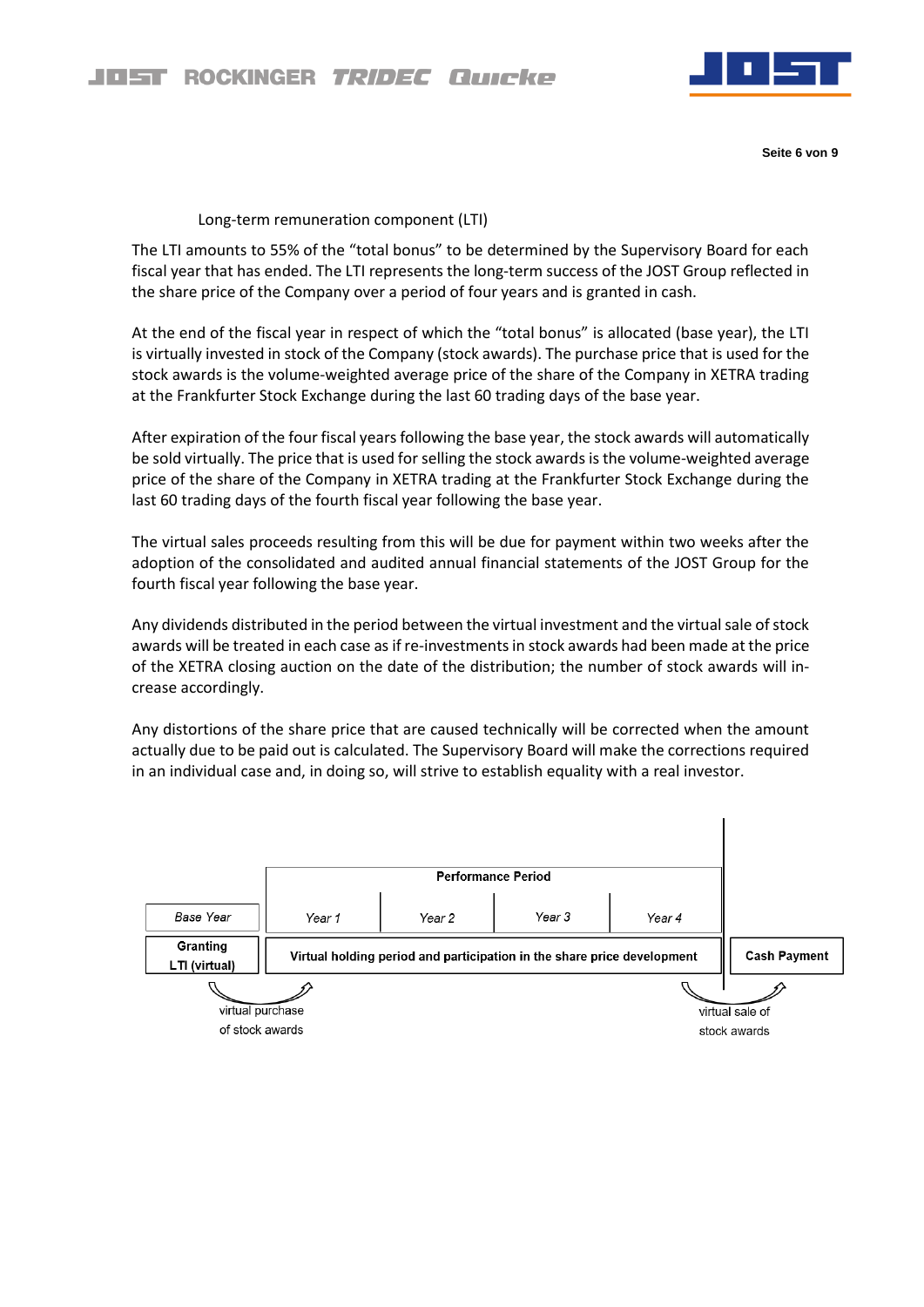

**Seite 6 von 9**

## Long-term remuneration component (LTI)

The LTI amounts to 55% of the "total bonus" to be determined by the Supervisory Board for each fiscal year that has ended. The LTI represents the long-term success of the JOST Group reflected in the share price of the Company over a period of four years and is granted in cash.

At the end of the fiscal year in respect of which the "total bonus" is allocated (base year), the LTI is virtually invested in stock of the Company (stock awards). The purchase price that is used for the stock awards is the volume-weighted average price of the share of the Company in XETRA trading at the Frankfurter Stock Exchange during the last 60 trading days of the base year.

After expiration of the four fiscal years following the base year, the stock awards will automatically be sold virtually. The price that is used for selling the stock awards is the volume-weighted average price of the share of the Company in XETRA trading at the Frankfurter Stock Exchange during the last 60 trading days of the fourth fiscal year following the base year.

The virtual sales proceeds resulting from this will be due for payment within two weeks after the adoption of the consolidated and audited annual financial statements of the JOST Group for the fourth fiscal year following the base year.

Any dividends distributed in the period between the virtual investment and the virtual sale of stock awards will be treated in each case as if re-investments in stock awards had been made at the price of the XETRA closing auction on the date of the distribution; the number of stock awards will increase accordingly.

Any distortions of the share price that are caused technically will be corrected when the amount actually due to be paid out is calculated. The Supervisory Board will make the corrections required in an individual case and, in doing so, will strive to establish equality with a real investor.

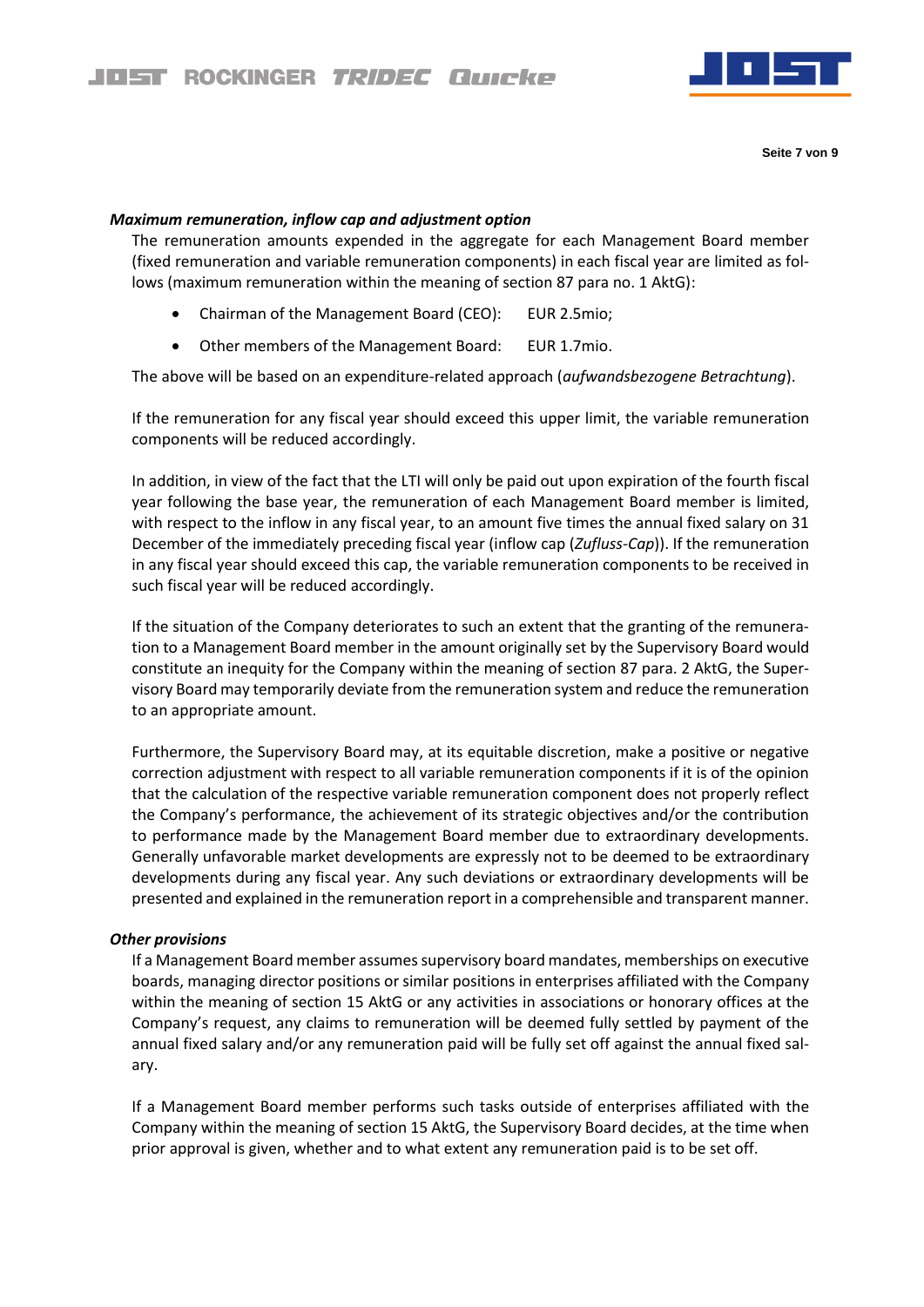

## *Maximum remuneration, inflow cap and adjustment option*

The remuneration amounts expended in the aggregate for each Management Board member (fixed remuneration and variable remuneration components) in each fiscal year are limited as follows (maximum remuneration within the meaning of section 87 para no. 1 AktG):

- Chairman of the Management Board (CEO): EUR 2.5mio;
- Other members of the Management Board: EUR 1.7mio.

The above will be based on an expenditure-related approach (*aufwandsbezogene Betrachtung*).

If the remuneration for any fiscal year should exceed this upper limit, the variable remuneration components will be reduced accordingly.

In addition, in view of the fact that the LTI will only be paid out upon expiration of the fourth fiscal year following the base year, the remuneration of each Management Board member is limited, with respect to the inflow in any fiscal year, to an amount five times the annual fixed salary on 31 December of the immediately preceding fiscal year (inflow cap (*Zufluss-Cap*)). If the remuneration in any fiscal year should exceed this cap, the variable remuneration components to be received in such fiscal year will be reduced accordingly.

If the situation of the Company deteriorates to such an extent that the granting of the remuneration to a Management Board member in the amount originally set by the Supervisory Board would constitute an inequity for the Company within the meaning of section 87 para. 2 AktG, the Supervisory Board may temporarily deviate from the remuneration system and reduce the remuneration to an appropriate amount.

Furthermore, the Supervisory Board may, at its equitable discretion, make a positive or negative correction adjustment with respect to all variable remuneration components if it is of the opinion that the calculation of the respective variable remuneration component does not properly reflect the Company's performance, the achievement of its strategic objectives and/or the contribution to performance made by the Management Board member due to extraordinary developments. Generally unfavorable market developments are expressly not to be deemed to be extraordinary developments during any fiscal year. Any such deviations or extraordinary developments will be presented and explained in the remuneration report in a comprehensible and transparent manner.

#### *Other provisions*

If a Management Board member assumes supervisory board mandates, memberships on executive boards, managing director positions or similar positions in enterprises affiliated with the Company within the meaning of section 15 AktG or any activities in associations or honorary offices at the Company's request, any claims to remuneration will be deemed fully settled by payment of the annual fixed salary and/or any remuneration paid will be fully set off against the annual fixed salary.

If a Management Board member performs such tasks outside of enterprises affiliated with the Company within the meaning of section 15 AktG, the Supervisory Board decides, at the time when prior approval is given, whether and to what extent any remuneration paid is to be set off.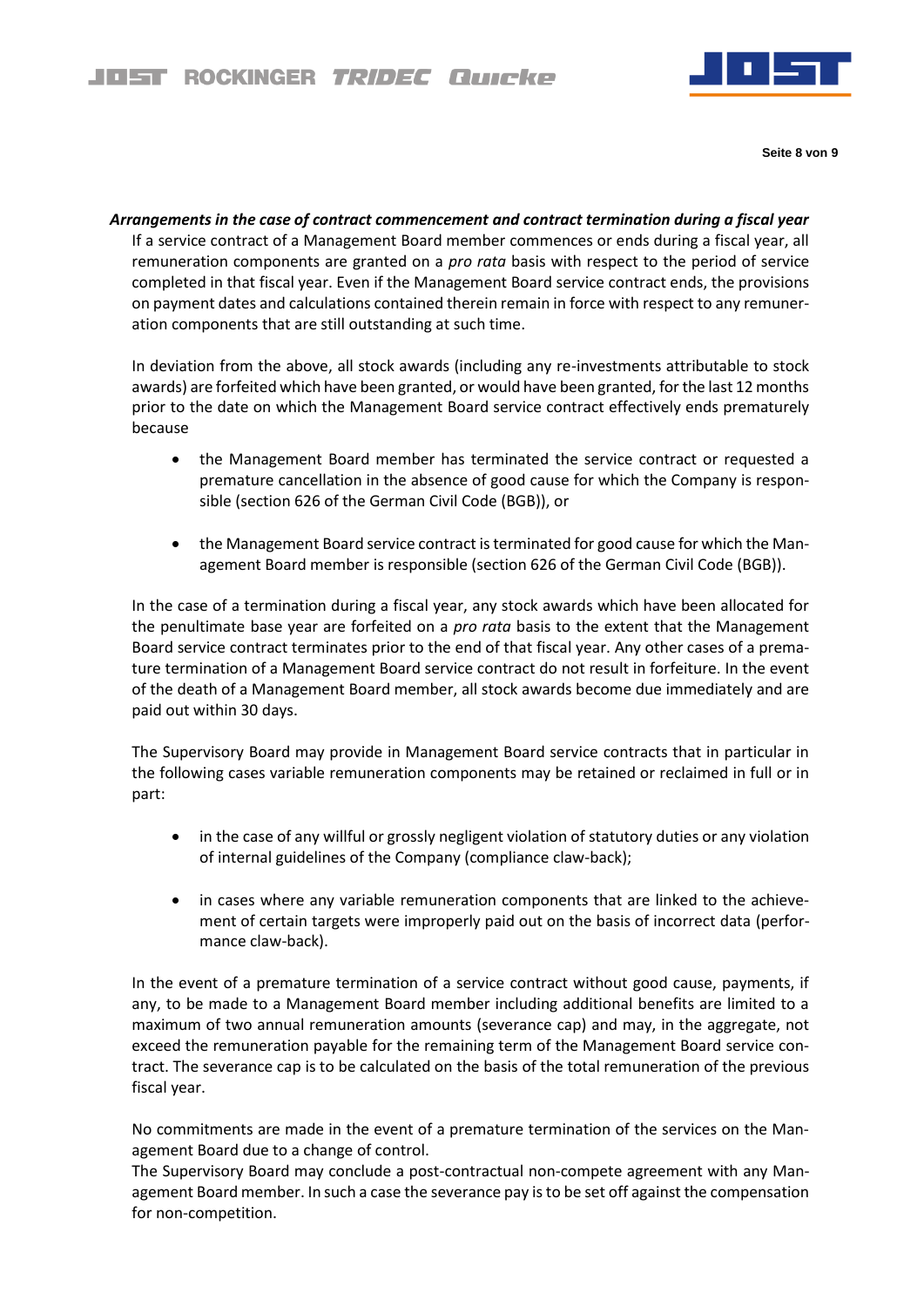

**Seite 8 von 9**

*Arrangements in the case of contract commencement and contract termination during a fiscal year* If a service contract of a Management Board member commences or ends during a fiscal year, all remuneration components are granted on a *pro rata* basis with respect to the period of service completed in that fiscal year. Even if the Management Board service contract ends, the provisions on payment dates and calculations contained therein remain in force with respect to any remuneration components that are still outstanding at such time.

In deviation from the above, all stock awards (including any re-investments attributable to stock awards) are forfeited which have been granted, or would have been granted, for the last 12 months prior to the date on which the Management Board service contract effectively ends prematurely because

- the Management Board member has terminated the service contract or requested a premature cancellation in the absence of good cause for which the Company is responsible (section 626 of the German Civil Code (BGB)), or
- the Management Board service contract is terminated for good cause for which the Management Board member is responsible (section 626 of the German Civil Code (BGB)).

In the case of a termination during a fiscal year, any stock awards which have been allocated for the penultimate base year are forfeited on a *pro rata* basis to the extent that the Management Board service contract terminates prior to the end of that fiscal year. Any other cases of a premature termination of a Management Board service contract do not result in forfeiture. In the event of the death of a Management Board member, all stock awards become due immediately and are paid out within 30 days.

The Supervisory Board may provide in Management Board service contracts that in particular in the following cases variable remuneration components may be retained or reclaimed in full or in part:

- in the case of any willful or grossly negligent violation of statutory duties or any violation of internal guidelines of the Company (compliance claw-back);
- in cases where any variable remuneration components that are linked to the achievement of certain targets were improperly paid out on the basis of incorrect data (performance claw-back).

In the event of a premature termination of a service contract without good cause, payments, if any, to be made to a Management Board member including additional benefits are limited to a maximum of two annual remuneration amounts (severance cap) and may, in the aggregate, not exceed the remuneration payable for the remaining term of the Management Board service contract. The severance cap is to be calculated on the basis of the total remuneration of the previous fiscal year.

No commitments are made in the event of a premature termination of the services on the Management Board due to a change of control.

The Supervisory Board may conclude a post-contractual non-compete agreement with any Management Board member. In such a case the severance pay is to be set off against the compensation for non-competition.